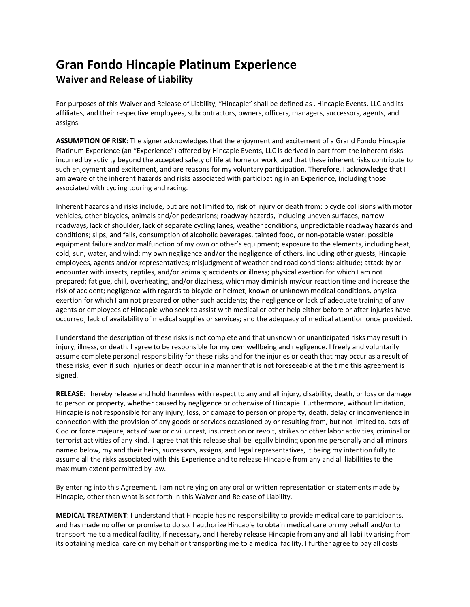## **Gran Fondo Hincapie Platinum Experience Waiver and Release of Liability**

For purposes of this Waiver and Release of Liability, "Hincapie" shall be defined as , Hincapie Events, LLC and its affiliates, and their respective employees, subcontractors, owners, officers, managers, successors, agents, and assigns.

**ASSUMPTION OF RISK**: The signer acknowledges that the enjoyment and excitement of a Grand Fondo Hincapie Platinum Experience (an "Experience") offered by Hincapie Events, LLC is derived in part from the inherent risks incurred by activity beyond the accepted safety of life at home or work, and that these inherent risks contribute to such enjoyment and excitement, and are reasons for my voluntary participation. Therefore, I acknowledge that I am aware of the inherent hazards and risks associated with participating in an Experience, including those associated with cycling touring and racing.

Inherent hazards and risks include, but are not limited to, risk of injury or death from: bicycle collisions with motor vehicles, other bicycles, animals and/or pedestrians; roadway hazards, including uneven surfaces, narrow roadways, lack of shoulder, lack of separate cycling lanes, weather conditions, unpredictable roadway hazards and conditions; slips, and falls, consumption of alcoholic beverages, tainted food, or non-potable water; possible equipment failure and/or malfunction of my own or other's equipment; exposure to the elements, including heat, cold, sun, water, and wind; my own negligence and/or the negligence of others, including other guests, Hincapie employees, agents and/or representatives; misjudgment of weather and road conditions; altitude; attack by or encounter with insects, reptiles, and/or animals; accidents or illness; physical exertion for which I am not prepared; fatigue, chill, overheating, and/or dizziness, which may diminish my/our reaction time and increase the risk of accident; negligence with regards to bicycle or helmet, known or unknown medical conditions, physical exertion for which I am not prepared or other such accidents; the negligence or lack of adequate training of any agents or employees of Hincapie who seek to assist with medical or other help either before or after injuries have occurred; lack of availability of medical supplies or services; and the adequacy of medical attention once provided.

I understand the description of these risks is not complete and that unknown or unanticipated risks may result in injury, illness, or death. I agree to be responsible for my own wellbeing and negligence. I freely and voluntarily assume complete personal responsibility for these risks and for the injuries or death that may occur as a result of these risks, even if such injuries or death occur in a manner that is not foreseeable at the time this agreement is signed.

**RELEASE**: I hereby release and hold harmless with respect to any and all injury, disability, death, or loss or damage to person or property, whether caused by negligence or otherwise of Hincapie. Furthermore, without limitation, Hincapie is not responsible for any injury, loss, or damage to person or property, death, delay or inconvenience in connection with the provision of any goods or services occasioned by or resulting from, but not limited to, acts of God or force majeure, acts of war or civil unrest, insurrection or revolt, strikes or other labor activities, criminal or terrorist activities of any kind. I agree that this release shall be legally binding upon me personally and all minors named below, my and their heirs, successors, assigns, and legal representatives, it being my intention fully to assume all the risks associated with this Experience and to release Hincapie from any and all liabilities to the maximum extent permitted by law.

By entering into this Agreement, I am not relying on any oral or written representation or statements made by Hincapie, other than what is set forth in this Waiver and Release of Liability.

**MEDICAL TREATMENT**: I understand that Hincapie has no responsibility to provide medical care to participants, and has made no offer or promise to do so. I authorize Hincapie to obtain medical care on my behalf and/or to transport me to a medical facility, if necessary, and I hereby release Hincapie from any and all liability arising from its obtaining medical care on my behalf or transporting me to a medical facility. I further agree to pay all costs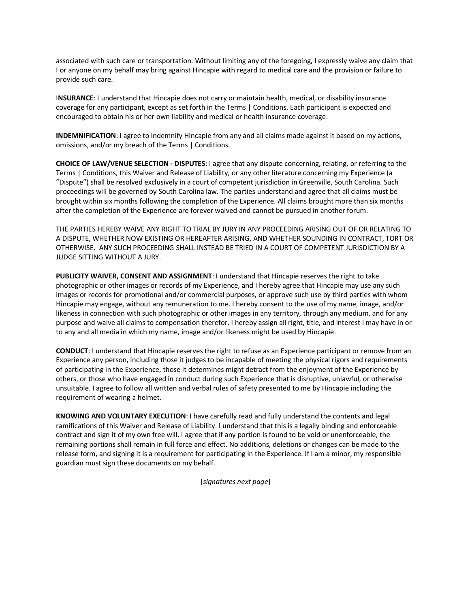associated with such care or transportation. Without limiting any of the foregoing, I expressly waive any claim that I or anyone on my behalf may bring against Hincapie with regard to medical care and the provision or failure to provide such care.

I**NSURANCE**: I understand that Hincapie does not carry or maintain health, medical, or disability insurance coverage for any participant, except as set forth in the Terms | Conditions. Each participant is expected and encouraged to obtain his or her own liability and medical or health insurance coverage.

**INDEMNIFICATION**: I agree to indemnify Hincapie from any and all claims made against it based on my actions, omissions, and/or my breach of the Terms | Conditions.

**CHOICE OF LAW/VENUE SELECTION - DISPUTES**: I agree that any dispute concerning, relating, or referring to the Terms | Conditions, this Waiver and Release of Liability, or any other literature concerning my Experience (a "Dispute") shall be resolved exclusively in a court of competent jurisdiction in Greenville, South Carolina. Such proceedings will be governed by South Carolina law. The parties understand and agree that all claims must be brought within six months following the completion of the Experience. All claims brought more than six months after the completion of the Experience are forever waived and cannot be pursued in another forum.

THE PARTIES HEREBY WAIVE ANY RIGHT TO TRIAL BY JURY IN ANY PROCEEDING ARISING OUT OF OR RELATING TO A DISPUTE, WHETHER NOW EXISTING OR HEREAFTER ARISING, AND WHETHER SOUNDING IN CONTRACT, TORT OR OTHERWISE. ANY SUCH PROCEEDING SHALL INSTEAD BE TRIED IN A COURT OF COMPETENT JURISDICTION BY A JUDGE SITTING WITHOUT A JURY.

**PUBLICITY WAIVER, CONSENT AND ASSIGNMENT**: I understand that Hincapie reserves the right to take photographic or other images or records of my Experience, and I hereby agree that Hincapie may use any such images or records for promotional and/or commercial purposes, or approve such use by third parties with whom Hincapie may engage, without any remuneration to me. I hereby consent to the use of my name, image, and/or likeness in connection with such photographic or other images in any territory, through any medium, and for any purpose and waive all claims to compensation therefor. I hereby assign all right, title, and interest I may have in or to any and all media in which my name, image and/or likeness might be used by Hincapie.

**CONDUCT**: I understand that Hincapie reserves the right to refuse as an Experience participant or remove from an Experience any person, including those it judges to be incapable of meeting the physical rigors and requirements of participating in the Experience, those it determines might detract from the enjoyment of the Experience by others, or those who have engaged in conduct during such Experience that is disruptive, unlawful, or otherwise unsuitable. I agree to follow all written and verbal rules of safety presented to me by Hincapie including the requirement of wearing a helmet.

**KNOWING AND VOLUNTARY EXECUTION**: I have carefully read and fully understand the contents and legal ramifications of this Waiver and Release of Liability. I understand that this is a legally binding and enforceable contract and sign it of my own free will. I agree that if any portion is found to be void or unenforceable, the remaining portions shall remain in full force and effect. No additions, deletions or changes can be made to the release form, and signing it is a requirement for participating in the Experience. If I am a minor, my responsible guardian must sign these documents on my behalf.

[*signatures next page*]